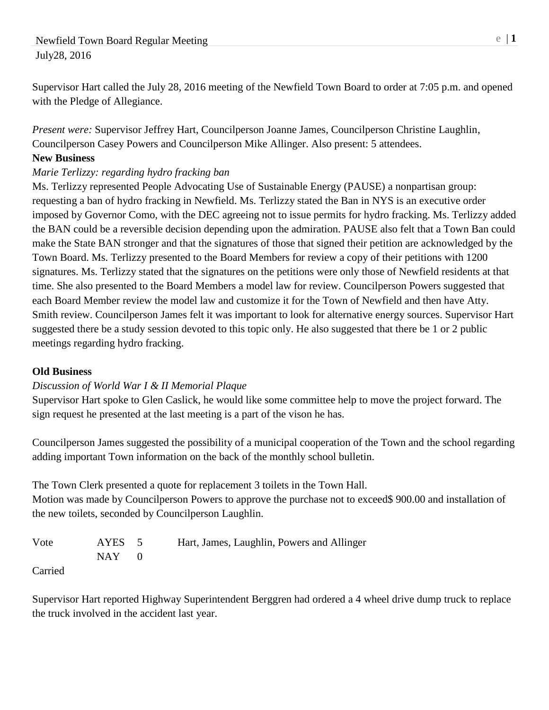Supervisor Hart called the July 28, 2016 meeting of the Newfield Town Board to order at 7:05 p.m. and opened with the Pledge of Allegiance.

*Present were:* Supervisor Jeffrey Hart, Councilperson Joanne James, Councilperson Christine Laughlin, Councilperson Casey Powers and Councilperson Mike Allinger. Also present: 5 attendees.

### **New Business**

## *Marie Terlizzy: regarding hydro fracking ban*

Ms. Terlizzy represented People Advocating Use of Sustainable Energy (PAUSE) a nonpartisan group: requesting a ban of hydro fracking in Newfield. Ms. Terlizzy stated the Ban in NYS is an executive order imposed by Governor Como, with the DEC agreeing not to issue permits for hydro fracking. Ms. Terlizzy added the BAN could be a reversible decision depending upon the admiration. PAUSE also felt that a Town Ban could make the State BAN stronger and that the signatures of those that signed their petition are acknowledged by the Town Board. Ms. Terlizzy presented to the Board Members for review a copy of their petitions with 1200 signatures. Ms. Terlizzy stated that the signatures on the petitions were only those of Newfield residents at that time. She also presented to the Board Members a model law for review. Councilperson Powers suggested that each Board Member review the model law and customize it for the Town of Newfield and then have Atty. Smith review. Councilperson James felt it was important to look for alternative energy sources. Supervisor Hart suggested there be a study session devoted to this topic only. He also suggested that there be 1 or 2 public meetings regarding hydro fracking.

#### **Old Business**

# *Discussion of World War I & II Memorial Plaque*

Supervisor Hart spoke to Glen Caslick, he would like some committee help to move the project forward. The sign request he presented at the last meeting is a part of the vison he has.

Councilperson James suggested the possibility of a municipal cooperation of the Town and the school regarding adding important Town information on the back of the monthly school bulletin.

The Town Clerk presented a quote for replacement 3 toilets in the Town Hall. Motion was made by Councilperson Powers to approve the purchase not to exceed\$ 900.00 and installation of the new toilets, seconded by Councilperson Laughlin.

Vote AYES 5 Hart, James, Laughlin, Powers and Allinger  $NAY$  0

Carried

Supervisor Hart reported Highway Superintendent Berggren had ordered a 4 wheel drive dump truck to replace the truck involved in the accident last year.